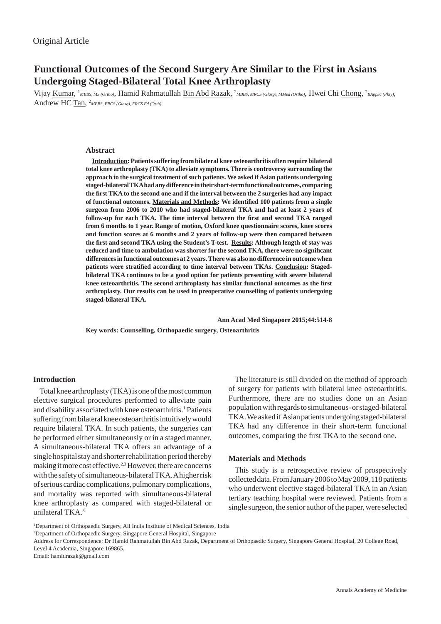# **Functional Outcomes of the Second Surgery Are Similar to the First in Asians Undergoing Staged-Bilateral Total Knee Arthroplasty**

Vijay <u>Kumar</u>, <sup>1</sup>MBBS, MS (Ortho), Hamid Rahmatullah Bin Abd Razak, <sup>2</sup>MBBS, MRCS (Glasg), MMed (Ortho), Hwei Chi Chong, <sup>2</sup>BAppSc (Phty), Andrew HC Tan, 2 *MBBS, FRCS (Glasg), FRCS Ed (Orth)*

# **Abstract**

**Introduction: Patients suffering from bilateral knee osteoarthritis often require bilateral total knee arthroplasty (TKA) to alleviate symptoms. There is controversy surrounding the approach to the surgical treatment of such patients. We asked if Asian patients undergoing staged-bilateral TKA had any difference in their short-term functional outcomes, comparing the fi rst TKA to the second one and if the interval between the 2 surgeries had any impact of functional outcomes. Materials and Methods: We identifi ed 100 patients from a single surgeon from 2006 to 2010 who had staged-bilateral TKA and had at least 2 years of**  follow-up for each TKA. The time interval between the first and second TKA ranged **from 6 months to 1 year. Range of motion, Oxford knee questionnaire scores, knee scores and function scores at 6 months and 2 years of follow-up were then compared between the fi rst and second TKA using the Student's T-test. Results: Although length of stay was reduced and time to ambulation was shorter for the second TKA, there were no signifi cant differences in functional outcomes at 2 years. There was also no difference in outcome when**  patients were stratified according to time interval between TKAs. Conclusion: Staged**bilateral TKA continues to be a good option for patients presenting with severe bilateral knee osteoarthritis. The second arthroplasty has similar functional outcomes as the fi rst arthroplasty. Our results can be used in preoperative counselling of patients undergoing staged-bilateral TKA.**

 **Ann Acad Med Singapore 2015;44:514-8**

**Key words: Counselling, Orthopaedic surgery, Osteoarthritis**

# **Introduction**

Total knee arthroplasty (TKA) is one of the most common elective surgical procedures performed to alleviate pain and disability associated with knee osteoarthritis.<sup>1</sup> Patients suffering from bilateral knee osteoarthritis intuitively would require bilateral TKA. In such patients, the surgeries can be performed either simultaneously or in a staged manner. A simultaneous-bilateral TKA offers an advantage of a single hospital stay and shorter rehabilitation period thereby making it more cost effective.<sup>2,3</sup> However, there are concerns with the safety of simultaneous-bilateral TKA. A higher risk of serious cardiac complications, pulmonary complications, and mortality was reported with simultaneous-bilateral knee arthroplasty as compared with staged-bilateral or unilateral TKA.<sup>3</sup>

The literature is still divided on the method of approach of surgery for patients with bilateral knee osteoarthritis. Furthermore, there are no studies done on an Asian population with regards to simultaneous- or staged-bilateral TKA. We asked if Asian patients undergoing staged-bilateral TKA had any difference in their short-term functional outcomes, comparing the first TKA to the second one.

### **Materials and Methods**

This study is a retrospective review of prospectively collected data. From January 2006 to May 2009, 118 patients who underwent elective staged-bilateral TKA in an Asian tertiary teaching hospital were reviewed. Patients from a single surgeon, the senior author of the paper, were selected

Email: hamidrazak@gmail.com

<sup>&</sup>lt;sup>1</sup>Department of Orthopaedic Surgery, All India Institute of Medical Sciences, India

<sup>2</sup> Department of Orthopaedic Surgery, Singapore General Hospital, Singapore

Address for Correspondence: Dr Hamid Rahmatullah Bin Abd Razak, Department of Orthopaedic Surgery, Singapore General Hospital, 20 College Road, Level 4 Academia, Singapore 169865.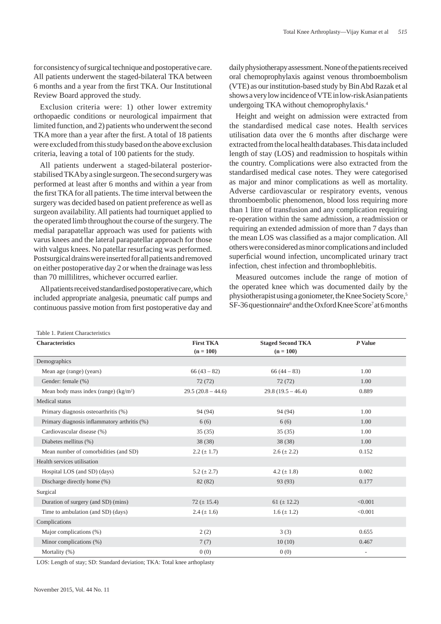for consistency of surgical technique and postoperative care. All patients underwent the staged-bilateral TKA between 6 months and a year from the first TKA. Our Institutional Review Board approved the study.

Exclusion criteria were: 1) other lower extremity orthopaedic conditions or neurological impairment that limited function, and 2) patients who underwent the second TKA more than a year after the first. A total of 18 patients were excluded from this study based on the above exclusion criteria, leaving a total of 100 patients for the study.

All patients underwent a staged-bilateral posteriorstabilised TKA by a single surgeon. The second surgery was performed at least after 6 months and within a year from the first TKA for all patients. The time interval between the surgery was decided based on patient preference as well as surgeon availability. All patients had tourniquet applied to the operated limb throughout the course of the surgery. The medial parapatellar approach was used for patients with varus knees and the lateral parapatellar approach for those with valgus knees. No patellar resurfacing was performed. Postsurgical drains were inserted for all patients and removed on either postoperative day 2 or when the drainage was less than 70 millilitres, whichever occurred earlier.

All patients received standardised postoperative care, which included appropriate analgesia, pneumatic calf pumps and continuous passive motion from first postoperative day and

daily physiotherapy assessment. None of the patients received oral chemoprophylaxis against venous thromboembolism (VTE) as our institution-based study by Bin Abd Razak et al shows a very low incidence of VTE in low-risk Asian patients undergoing TKA without chemoprophylaxis.4

Height and weight on admission were extracted from the standardised medical case notes. Health services utilisation data over the 6 months after discharge were extracted from the local health databases. This data included length of stay (LOS) and readmission to hospitals within the country. Complications were also extracted from the standardised medical case notes. They were categorised as major and minor complications as well as mortality. Adverse cardiovascular or respiratory events, venous thromboembolic phenomenon, blood loss requiring more than 1 litre of transfusion and any complication requiring re-operation within the same admission, a readmission or requiring an extended admission of more than 7 days than the mean LOS was classified as a major complication. All others were considered as minor complications and included superficial wound infection, uncomplicated urinary tract infection, chest infection and thrombophlebitis.

Measured outcomes include the range of motion of the operated knee which was documented daily by the physiotherapist using a goniometer, the Knee Society Score,5 SF-36 questionnaire<sup>6</sup> and the Oxford Knee Score<sup>7</sup> at 6 months

| Table 1. Fattent Characteristics             |                     |                          |                          |  |  |
|----------------------------------------------|---------------------|--------------------------|--------------------------|--|--|
| <b>Characteristics</b>                       | <b>First TKA</b>    | <b>Staged Second TKA</b> | P Value                  |  |  |
|                                              | $(n = 100)$         | $(n = 100)$              |                          |  |  |
| Demographics                                 |                     |                          |                          |  |  |
| Mean age (range) (years)                     | $66(43-82)$         | $66(44-83)$              | 1.00                     |  |  |
| Gender: female (%)                           | 72(72)              | 72(72)                   | 1.00                     |  |  |
| Mean body mass index (range) $(kg/m2)$       | $29.5(20.8 - 44.6)$ | $29.8(19.5 - 46.4)$      | 0.889                    |  |  |
| Medical status                               |                     |                          |                          |  |  |
| Primary diagnosis osteoarthritis (%)         | 94 (94)             | 94 (94)                  | 1.00                     |  |  |
| Primary diagnosis inflammatory arthritis (%) | 6(6)                | 6(6)                     | 1.00                     |  |  |
| Cardiovascular disease (%)                   | 35(35)              | 35(35)                   | 1.00                     |  |  |
| Diabetes mellitus (%)                        | 38(38)              | 38(38)                   | 1.00                     |  |  |
| Mean number of comorbidities (and SD)        | $2.2 (\pm 1.7)$     | $2.6 (\pm 2.2)$          | 0.152                    |  |  |
| Health services utilisation                  |                     |                          |                          |  |  |
| Hospital LOS (and SD) (days)                 | 5.2 $(\pm 2.7)$     | 4.2 $(\pm 1.8)$          | 0.002                    |  |  |
| Discharge directly home (%)                  | 82 (82)             | 93 (93)                  | 0.177                    |  |  |
| Surgical                                     |                     |                          |                          |  |  |
| Duration of surgery (and SD) (mins)          | 72 ( $\pm$ 15.4)    | 61 ( $\pm$ 12.2)         | < 0.001                  |  |  |
| Time to ambulation (and SD) (days)           | $2.4 (\pm 1.6)$     | $1.6 (\pm 1.2)$          | < 0.001                  |  |  |
| Complications                                |                     |                          |                          |  |  |
| Major complications (%)                      | 2(2)                | 3(3)                     | 0.655                    |  |  |
| Minor complications (%)                      | 7(7)                | 10(10)                   | 0.467                    |  |  |
| Mortality (%)                                | 0(0)                | 0(0)                     | $\overline{\phantom{a}}$ |  |  |

LOS: Length of stay; SD: Standard deviation; TKA: Total knee arthoplasty

 $T_{\text{c}}(1,1,-1)$ .  $D_{\text{c}}(1,1,-1)$ Characteristics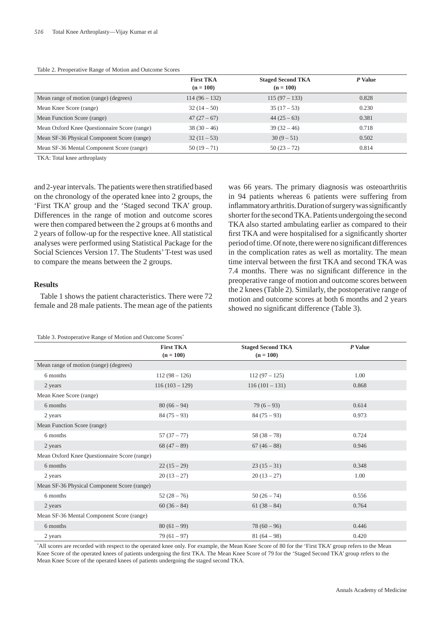|                                              | <b>First TKA</b><br>$(n = 100)$ | <b>Staged Second TKA</b><br>$(n = 100)$ | P Value |
|----------------------------------------------|---------------------------------|-----------------------------------------|---------|
| Mean range of motion (range) (degrees)       | $114(96-132)$                   | $115(97 - 133)$                         | 0.828   |
| Mean Knee Score (range)                      | $32(14-50)$                     | $35(17-53)$                             | 0.230   |
| Mean Function Score (range)                  | $47(27-67)$                     | $44(25-63)$                             | 0.381   |
| Mean Oxford Knee Questionnaire Score (range) | $38(30-46)$                     | $39(32-46)$                             | 0.718   |
| Mean SF-36 Physical Component Score (range)  | $32(11-53)$                     | $30(9-51)$                              | 0.502   |
| Mean SF-36 Mental Component Score (range)    | $50(19-71)$                     | $50(23-72)$                             | 0.814   |

Table 2. Preoperative Range of Motion and Outcome Scores

TKA: Total knee arthroplasty

and 2-year intervals. The patients were then stratified based on the chronology of the operated knee into 2 groups, the 'First TKA' group and the 'Staged second TKA' group. Differences in the range of motion and outcome scores were then compared between the 2 groups at 6 months and 2 years of follow-up for the respective knee. All statistical analyses were performed using Statistical Package for the Social Sciences Version 17. The Students' T-test was used to compare the means between the 2 groups.

#### **Results**

Table 1 shows the patient characteristics. There were 72 female and 28 male patients. The mean age of the patients

Table 3. Postoperative Range of Motion and Outcome Scores\*

in 94 patients whereas 6 patients were suffering from inflammatory arthritis. Duration of surgery was significantly shorter for the second TKA. Patients undergoing the second TKA also started ambulating earlier as compared to their first TKA and were hospitalised for a significantly shorter period of time. Of note, there were no significant differences in the complication rates as well as mortality. The mean time interval between the first TKA and second TKA was 7.4 months. There was no significant difference in the preoperative range of motion and outcome scores between the 2 knees (Table 2). Similarly, the postoperative range of motion and outcome scores at both 6 months and 2 years showed no significant difference (Table 3).

was 66 years. The primary diagnosis was osteoarthritis

| Table 5. I ostoperative Kange of Motion and Outcome Scores |                  |                          |         |  |  |  |
|------------------------------------------------------------|------------------|--------------------------|---------|--|--|--|
|                                                            | <b>First TKA</b> | <b>Staged Second TKA</b> | P Value |  |  |  |
|                                                            | $(n = 100)$      | $(n = 100)$              |         |  |  |  |
| Mean range of motion (range) (degrees)                     |                  |                          |         |  |  |  |
| 6 months                                                   | $112(98 - 126)$  | $112(97 - 125)$          | 1.00    |  |  |  |
| 2 years                                                    | $116(103 - 129)$ | $116(101 - 131)$         | 0.868   |  |  |  |
| Mean Knee Score (range)                                    |                  |                          |         |  |  |  |
| 6 months                                                   | $80(66-94)$      | $79(6-93)$               | 0.614   |  |  |  |
| 2 years                                                    | $84(75-93)$      | $84(75-93)$              | 0.973   |  |  |  |
| Mean Function Score (range)                                |                  |                          |         |  |  |  |
| 6 months                                                   | $57(37-77)$      | $58(38-78)$              | 0.724   |  |  |  |
| 2 years                                                    | $68(47-89)$      | $67(46-88)$              | 0.946   |  |  |  |
| Mean Oxford Knee Questionnaire Score (range)               |                  |                          |         |  |  |  |
| 6 months                                                   | $22(15-29)$      | $23(15-31)$              | 0.348   |  |  |  |
| 2 years                                                    | $20(13-27)$      | $20(13-27)$              | 1.00    |  |  |  |
| Mean SF-36 Physical Component Score (range)                |                  |                          |         |  |  |  |
| 6 months                                                   | $52(28-76)$      | $50(26-74)$              | 0.556   |  |  |  |
| 2 years                                                    | $60(36-84)$      | $61(38-84)$              | 0.764   |  |  |  |
| Mean SF-36 Mental Component Score (range)                  |                  |                          |         |  |  |  |
| 6 months                                                   | $80(61-99)$      | $78(60-96)$              | 0.446   |  |  |  |
| 2 years                                                    | $79(61 - 97)$    | $81(64-98)$              | 0.420   |  |  |  |

\* All scores are recorded with respect to the operated knee only. For example, the Mean Knee Score of 80 for the 'First TKA' group refers to the Mean Knee Score of the operated knees of patients undergoing the first TKA. The Mean Knee Score of 79 for the 'Staged Second TKA' group refers to the Mean Knee Score of the operated knees of patients undergoing the staged second TKA.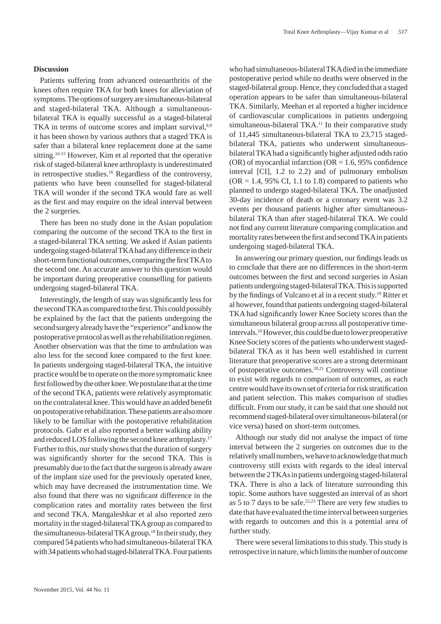# **Discussion**

Patients suffering from advanced osteoarthritis of the knees often require TKA for both knees for alleviation of symptoms. The options of surgery are simultaneous-bilateral and staged-bilateral TKA. Although a simultaneousbilateral TKA is equally successful as a staged-bilateral TKA in terms of outcome scores and implant survival,<sup>8,9</sup> it has been shown by various authors that a staged TKA is safer than a bilateral knee replacement done at the same sitting.10-15 However, Kim et al reported that the operative risk of staged-bilateral knee arthroplasty is underestimated in retrospective studies.16 Regardless of the controversy, patients who have been counselled for staged-bilateral TKA will wonder if the second TKA would fare as well as the first and may enquire on the ideal interval between the 2 surgeries.

There has been no study done in the Asian population comparing the outcome of the second TKA to the first in a staged-bilateral TKA setting. We asked if Asian patients undergoing staged-bilateral TKA had any difference in their short-term functional outcomes, comparing the first TKA to the second one. An accurate answer to this question would be important during preoperative counselling for patients undergoing staged-bilateral TKA.

Interestingly, the length of stay was significantly less for the second TKA as compared to the first. This could possibly be explained by the fact that the patients undergoing the second surgery already have the "experience" and know the postoperative protocol as well as the rehabilitation regimen. Another observation was that the time to ambulation was also less for the second knee compared to the first knee. In patients undergoing staged-bilateral TKA, the intuitive practice would be to operate on the more symptomatic knee first followed by the other knee. We postulate that at the time of the second TKA, patients were relatively asymptomatic on the contralateral knee. This would have an added benefit on postoperative rehabilitation. These patients are also more likely to be familiar with the postoperative rehabilitation protocols. Gabr et al also reported a better walking ability and reduced LOS following the second knee arthroplasty.17 Further to this, our study shows that the duration of surgery was significantly shorter for the second TKA. This is presumably due to the fact that the surgeon is already aware of the implant size used for the previously operated knee, which may have decreased the instrumentation time. We also found that there was no significant difference in the complication rates and mortality rates between the first and second TKA. Mangaleshkar et al also reported zero mortality in the staged-bilateral TKA group as compared to the simultaneous-bilateral TKA group.<sup>18</sup> In their study, they compared 54 patients who had simultaneous-bilateral TKA with 34 patients who had staged-bilateral TKA. Four patients

who had simultaneous-bilateral TKA died in the immediate postoperative period while no deaths were observed in the staged-bilateral group. Hence, they concluded that a staged operation appears to be safer than simultaneous-bilateral TKA. Similarly, Meehan et al reported a higher incidence of cardiovascular complications in patients undergoing simultaneous-bilateral TKA.<sup>11</sup> In their comparative study of 11,445 simultaneous-bilateral TKA to 23,715 stagedbilateral TKA, patients who underwent simultaneousbilateral TKA had a significantly higher adjusted odds ratio (OR) of myocardial infarction (OR  $= 1.6$ , 95% confidence interval [CI], 1.2 to 2.2) and of pulmonary embolism  $(OR = 1.4, 95\% \text{ CI}, 1.1 \text{ to } 1.8)$  compared to patients who planned to undergo staged-bilateral TKA. The unadjusted 30-day incidence of death or a coronary event was 3.2 events per thousand patients higher after simultaneousbilateral TKA than after staged-bilateral TKA. We could not find any current literature comparing complication and mortality rates between the first and second TKA in patients undergoing staged-bilateral TKA.

In answering our primary question, our findings leads us to conclude that there are no differences in the short-term outcomes between the first and second surgeries in Asian patients undergoing staged-bilateral TKA. This is supported by the findings of Vulcano et al in a recent study.<sup>19</sup> Ritter et al however, found that patients undergoing staged-bilateral TKA had significantly lower Knee Society scores than the simultaneous bilateral group across all postoperative timeintervals.10 However, this could be due to lower preoperative Knee Society scores of the patients who underwent stagedbilateral TKA as it has been well established in current literature that preoperative scores are a strong determinant of postoperative outcomes.20,21 Controversy will continue to exist with regards to comparison of outcomes, as each centre would have its own set of criteria for risk stratification and patient selection. This makes comparison of studies difficult. From our study, it can be said that one should not recommend staged-bilateral over simultaneous-bilateral (or vice versa) based on short-term outcomes.

Although our study did not analyse the impact of time interval between the 2 surgeries on outcomes due to the relatively small numbers, we have to acknowledge that much controversy still exists with regards to the ideal interval between the 2 TKAs in patients undergoing staged-bilateral TKA. There is also a lack of literature surrounding this topic. Some authors have suggested an interval of as short as 5 to 7 days to be safe.<sup>22,23</sup> There are very few studies to date that have evaluated the time interval between surgeries with regards to outcomes and this is a potential area of further study.

There were several limitations to this study. This study is retrospective in nature, which limits the number of outcome